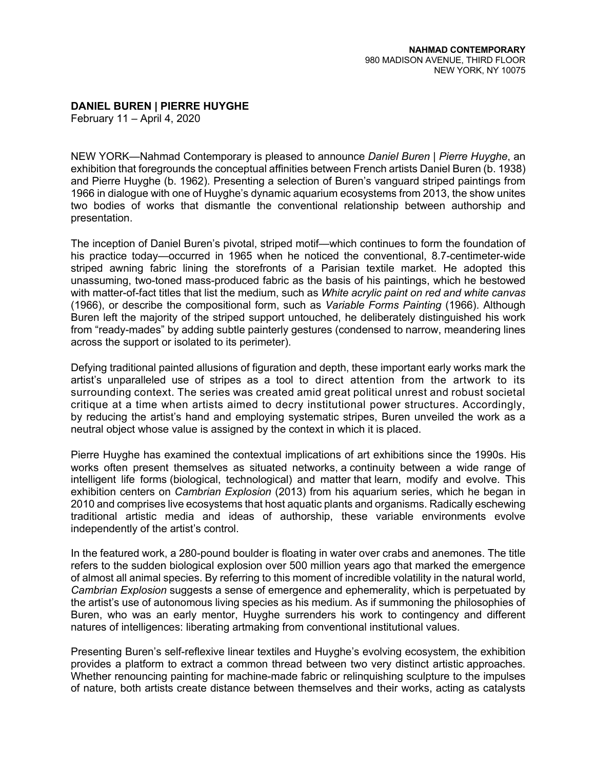**DANIEL BUREN | PIERRE HUYGHE**

February 11 – April 4, 2020

NEW YORK—Nahmad Contemporary is pleased to announce *Daniel Buren | Pierre Huyghe*, an exhibition that foregrounds the conceptual affinities between French artists Daniel Buren (b. 1938) and Pierre Huyghe (b. 1962). Presenting a selection of Buren's vanguard striped paintings from 1966 in dialogue with one of Huyghe's dynamic aquarium ecosystems from 2013, the show unites two bodies of works that dismantle the conventional relationship between authorship and presentation.

The inception of Daniel Buren's pivotal, striped motif—which continues to form the foundation of his practice today—occurred in 1965 when he noticed the conventional, 8.7-centimeter-wide striped awning fabric lining the storefronts of a Parisian textile market. He adopted this unassuming, two-toned mass-produced fabric as the basis of his paintings, which he bestowed with matter-of-fact titles that list the medium, such as *White acrylic paint on red and white canvas*  (1966), or describe the compositional form, such as *Variable Forms Painting* (1966). Although Buren left the majority of the striped support untouched, he deliberately distinguished his work from "ready-mades" by adding subtle painterly gestures (condensed to narrow, meandering lines across the support or isolated to its perimeter).

Defying traditional painted allusions of figuration and depth, these important early works mark the artist's unparalleled use of stripes as a tool to direct attention from the artwork to its surrounding context. The series was created amid great political unrest and robust societal critique at a time when artists aimed to decry institutional power structures. Accordingly, by reducing the artist's hand and employing systematic stripes, Buren unveiled the work as a neutral object whose value is assigned by the context in which it is placed.

Pierre Huyghe has examined the contextual implications of art exhibitions since the 1990s. His works often present themselves as situated networks, a continuity between a wide range of intelligent life forms (biological, technological) and matter that learn, modify and evolve. This exhibition centers on *Cambrian Explosion* (2013) from his aquarium series, which he began in 2010 and comprises live ecosystems that host aquatic plants and organisms. Radically eschewing traditional artistic media and ideas of authorship, these variable environments evolve independently of the artist's control.

In the featured work, a 280-pound boulder is floating in water over crabs and anemones. The title refers to the sudden biological explosion over 500 million years ago that marked the emergence of almost all animal species. By referring to this moment of incredible volatility in the natural world, *Cambrian Explosion* suggests a sense of emergence and ephemerality, which is perpetuated by the artist's use of autonomous living species as his medium. As if summoning the philosophies of Buren, who was an early mentor, Huyghe surrenders his work to contingency and different natures of intelligences: liberating artmaking from conventional institutional values.

Presenting Buren's self-reflexive linear textiles and Huyghe's evolving ecosystem, the exhibition provides a platform to extract a common thread between two very distinct artistic approaches. Whether renouncing painting for machine-made fabric or relinquishing sculpture to the impulses of nature, both artists create distance between themselves and their works, acting as catalysts